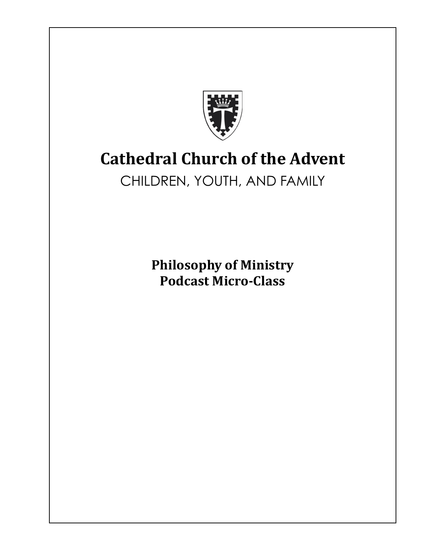

# **Cathedral Church of the Advent**

## CHILDREN, YOUTH, AND FAMILY

**Philosophy of Ministry Podcast Micro-Class**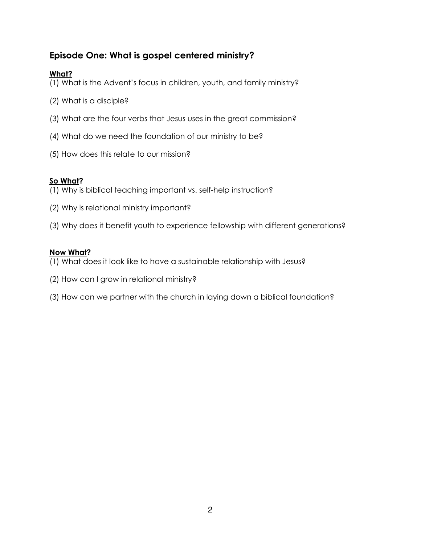## **Episode One: What is gospel centered ministry?**

## **What?**

- (1) What is the Advent's focus in children, youth, and family ministry?
- (2) What is a disciple?
- (3) What are the four verbs that Jesus uses in the great commission?
- (4) What do we need the foundation of our ministry to be?
- (5) How does this relate to our mission?

## **So What?**

- (1) Why is biblical teaching important vs. self-help instruction?
- (2) Why is relational ministry important?
- (3) Why does it benefit youth to experience fellowship with different generations?

#### **Now What?**

- (1) What does it look like to have a sustainable relationship with Jesus?
- (2) How can I grow in relational ministry?
- (3) How can we partner with the church in laying down a biblical foundation?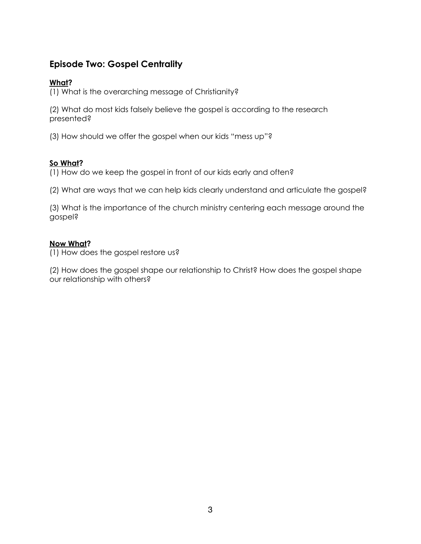## **Episode Two: Gospel Centrality**

#### **What?**

(1) What is the overarching message of Christianity?

(2) What do most kids falsely believe the gospel is according to the research presented?

(3) How should we offer the gospel when our kids "mess up"?

## **So What?**

(1) How do we keep the gospel in front of our kids early and often?

(2) What are ways that we can help kids clearly understand and articulate the gospel?

(3) What is the importance of the church ministry centering each message around the gospel?

## **Now What?**

(1) How does the gospel restore us?

(2) How does the gospel shape our relationship to Christ? How does the gospel shape our relationship with others?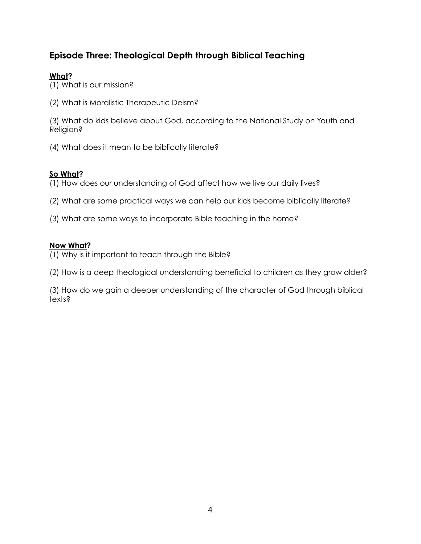## **Episode Three: Theological Depth through Biblical Teaching**

## **What?**

(1) What is our mission?

(2) What is Moralistic Therapeutic Deism?

(3) What do kids believe about God, according to the National Study on Youth and Religion?

(4) What does it mean to be biblically literate?

#### **So What?**

(1) How does our understanding of God affect how we live our daily lives?

- (2) What are some practical ways we can help our kids become biblically literate?
- (3) What are some ways to incorporate Bible teaching in the home?

#### **Now What?**

(1) Why is it important to teach through the Bible?

(2) How is a deep theological understanding beneficial to children as they grow older?

(3) How do we gain a deeper understanding of the character of God through biblical texts?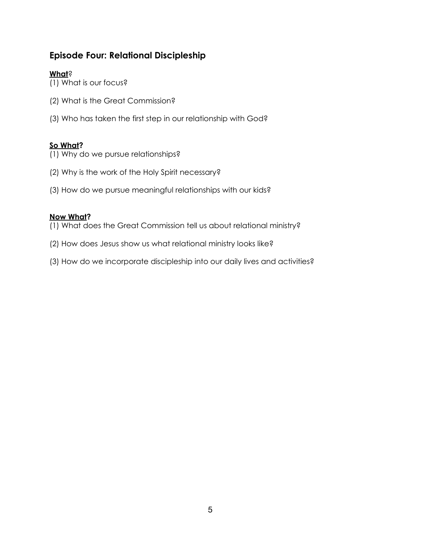## **Episode Four: Relational Discipleship**

## **What**?

(1) What is our focus?

- (2) What is the Great Commission?
- (3) Who has taken the first step in our relationship with God?

## **So What?**

- (1) Why do we pursue relationships?
- (2) Why is the work of the Holy Spirit necessary?
- (3) How do we pursue meaningful relationships with our kids?

## **Now What?**

- (1) What does the Great Commission tell us about relational ministry?
- (2) How does Jesus show us what relational ministry looks like?
- (3) How do we incorporate discipleship into our daily lives and activities?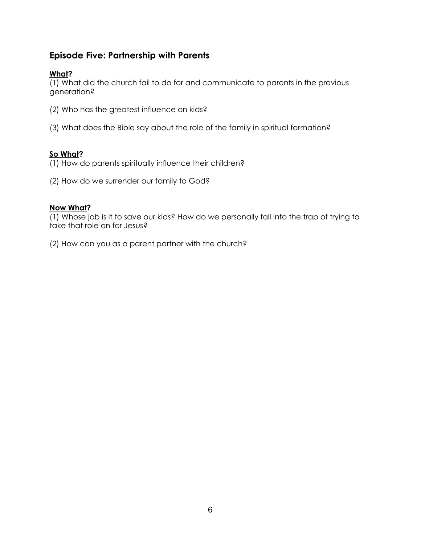## **Episode Five: Partnership with Parents**

## **What?**

(1) What did the church fail to do for and communicate to parents in the previous generation?

- (2) Who has the greatest influence on kids?
- (3) What does the Bible say about the role of the family in spiritual formation?

#### **So What?**

(1) How do parents spiritually influence their children?

(2) How do we surrender our family to God?

#### **Now What?**

(1) Whose job is it to save our kids? How do we personally fall into the trap of trying to take that role on for Jesus?

(2) How can you as a parent partner with the church?